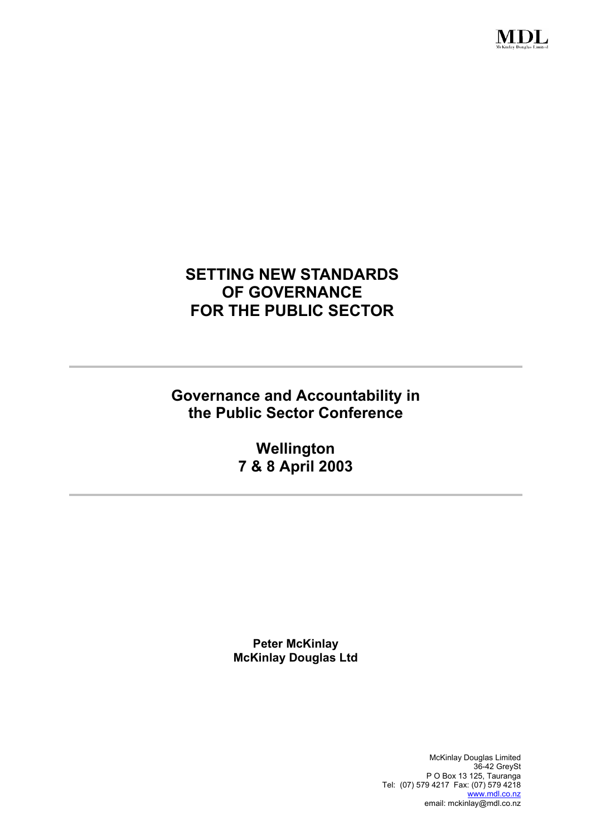

# **SETTING NEW STANDARDS OF GOVERNANCE FOR THE PUBLIC SECTOR**

**Governance and Accountability in the Public Sector Conference** 

> **Wellington 7 & 8 April 2003**

**Peter McKinlay McKinlay Douglas Ltd** 

> McKinlay Douglas Limited 36-42 GreySt P O Box 13 125, Tauranga Tel: (07) 579 4217 Fax: (07) 579 4218 www.mdl.co.nz email: mckinlay@mdl.co.nz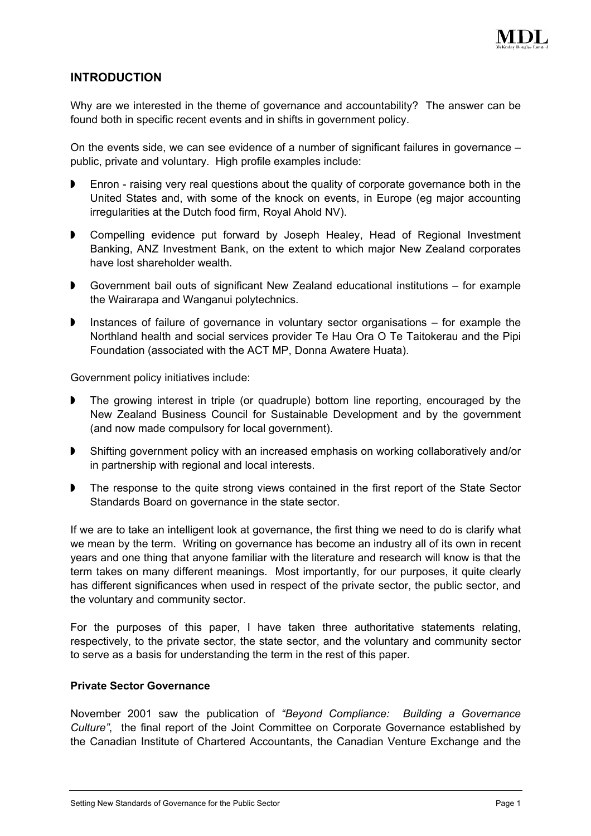

# **INTRODUCTION**

Why are we interested in the theme of governance and accountability? The answer can be found both in specific recent events and in shifts in government policy.

On the events side, we can see evidence of a number of significant failures in governance – public, private and voluntary. High profile examples include:

- $\blacktriangleright$ Enron - raising very real questions about the quality of corporate governance both in the United States and, with some of the knock on events, in Europe (eg major accounting irregularities at the Dutch food firm, Royal Ahold NV).
- $\blacktriangleright$ Compelling evidence put forward by Joseph Healey, Head of Regional Investment Banking, ANZ Investment Bank, on the extent to which major New Zealand corporates have lost shareholder wealth.
- $\blacktriangleright$ Government bail outs of significant New Zealand educational institutions – for example the Wairarapa and Wanganui polytechnics.
- $\blacktriangleright$ Instances of failure of governance in voluntary sector organisations – for example the Northland health and social services provider Te Hau Ora O Te Taitokerau and the Pipi Foundation (associated with the ACT MP, Donna Awatere Huata).

Government policy initiatives include:

- $\blacktriangleright$ The growing interest in triple (or quadruple) bottom line reporting, encouraged by the New Zealand Business Council for Sustainable Development and by the government (and now made compulsory for local government).
- $\blacktriangleright$ Shifting government policy with an increased emphasis on working collaboratively and/or in partnership with regional and local interests.
- $\blacktriangleright$ The response to the quite strong views contained in the first report of the State Sector Standards Board on governance in the state sector.

If we are to take an intelligent look at governance, the first thing we need to do is clarify what we mean by the term. Writing on governance has become an industry all of its own in recent years and one thing that anyone familiar with the literature and research will know is that the term takes on many different meanings. Most importantly, for our purposes, it quite clearly has different significances when used in respect of the private sector, the public sector, and the voluntary and community sector.

For the purposes of this paper, I have taken three authoritative statements relating, respectively, to the private sector, the state sector, and the voluntary and community sector to serve as a basis for understanding the term in the rest of this paper.

## **Private Sector Governance**

November 2001 saw the publication of *"Beyond Compliance: Building a Governance Culture"*, the final report of the Joint Committee on Corporate Governance established by the Canadian Institute of Chartered Accountants, the Canadian Venture Exchange and the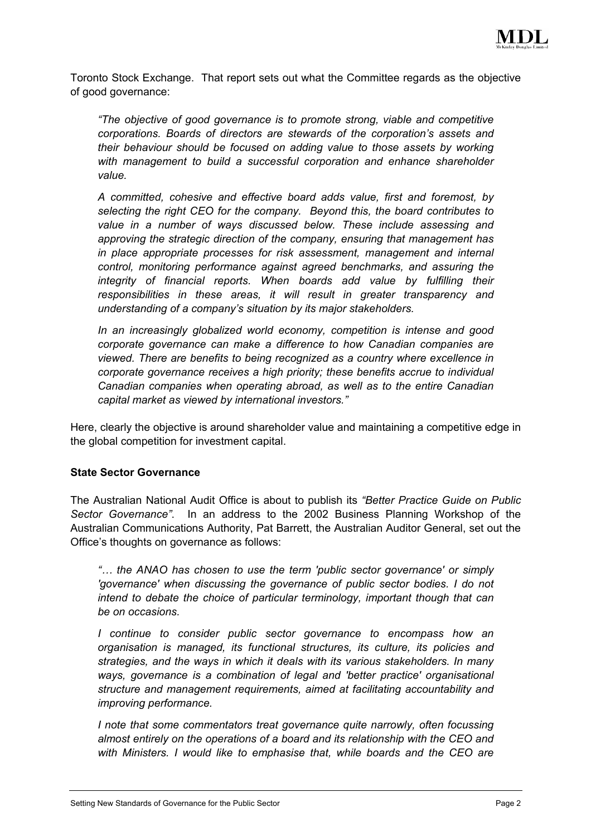

Toronto Stock Exchange. That report sets out what the Committee regards as the objective of good governance:

*"The objective of good governance is to promote strong, viable and competitive corporations. Boards of directors are stewards of the corporation's assets and their behaviour should be focused on adding value to those assets by working with management to build a successful corporation and enhance shareholder value.* 

*A committed, cohesive and effective board adds value, first and foremost, by selecting the right CEO for the company. Beyond this, the board contributes to value in a number of ways discussed below. These include assessing and approving the strategic direction of the company, ensuring that management has in place appropriate processes for risk assessment, management and internal control, monitoring performance against agreed benchmarks, and assuring the integrity of financial reports. When boards add value by fulfilling their responsibilities in these areas, it will result in greater transparency and understanding of a company's situation by its major stakeholders.* 

*In an increasingly globalized world economy, competition is intense and good corporate governance can make a difference to how Canadian companies are viewed. There are benefits to being recognized as a country where excellence in corporate governance receives a high priority; these benefits accrue to individual Canadian companies when operating abroad, as well as to the entire Canadian capital market as viewed by international investors."*

Here, clearly the objective is around shareholder value and maintaining a competitive edge in the global competition for investment capital.

## **State Sector Governance**

The Australian National Audit Office is about to publish its *"Better Practice Guide on Public Sector Governance"*. In an address to the 2002 Business Planning Workshop of the Australian Communications Authority, Pat Barrett, the Australian Auditor General, set out the Office's thoughts on governance as follows:

*"… the ANAO has chosen to use the term 'public sector governance' or simply 'governance' when discussing the governance of public sector bodies. I do not intend to debate the choice of particular terminology, important though that can be on occasions.* 

*I* continue to consider public sector governance to encompass how an *organisation is managed, its functional structures, its culture, its policies and strategies, and the ways in which it deals with its various stakeholders. In many ways, governance is a combination of legal and 'better practice' organisational structure and management requirements, aimed at facilitating accountability and improving performance.*

*I note that some commentators treat governance quite narrowly, often focussing almost entirely on the operations of a board and its relationship with the CEO and with Ministers. I would like to emphasise that, while boards and the CEO are*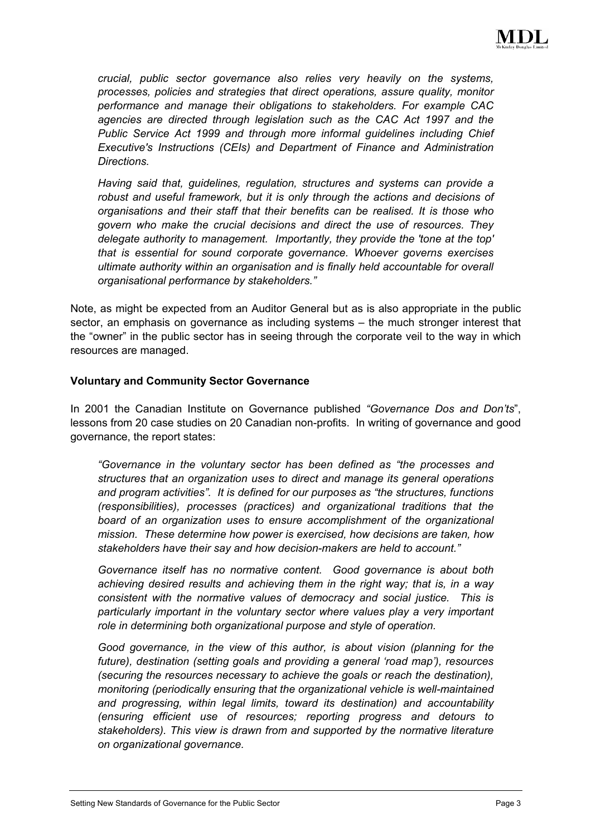

*crucial, public sector governance also relies very heavily on the systems, processes, policies and strategies that direct operations, assure quality, monitor performance and manage their obligations to stakeholders. For example CAC agencies are directed through legislation such as the CAC Act 1997 and the Public Service Act 1999 and through more informal guidelines including Chief Executive's Instructions (CEIs) and Department of Finance and Administration Directions.* 

*Having said that, guidelines, regulation, structures and systems can provide a robust and useful framework, but it is only through the actions and decisions of organisations and their staff that their benefits can be realised. It is those who govern who make the crucial decisions and direct the use of resources. They delegate authority to management. Importantly, they provide the 'tone at the top' that is essential for sound corporate governance. Whoever governs exercises ultimate authority within an organisation and is finally held accountable for overall organisational performance by stakeholders."*

Note, as might be expected from an Auditor General but as is also appropriate in the public sector, an emphasis on governance as including systems – the much stronger interest that the "owner" in the public sector has in seeing through the corporate veil to the way in which resources are managed.

## **Voluntary and Community Sector Governance**

In 2001 the Canadian Institute on Governance published *"Governance Dos and Don'ts*", lessons from 20 case studies on 20 Canadian non-profits. In writing of governance and good governance, the report states:

*"Governance in the voluntary sector has been defined as "the processes and structures that an organization uses to direct and manage its general operations and program activities". It is defined for our purposes as "the structures, functions (responsibilities), processes (practices) and organizational traditions that the board of an organization uses to ensure accomplishment of the organizational mission. These determine how power is exercised, how decisions are taken, how stakeholders have their say and how decision-makers are held to account."*

*Governance itself has no normative content. Good governance is about both achieving desired results and achieving them in the right way; that is, in a way consistent with the normative values of democracy and social justice. This is particularly important in the voluntary sector where values play a very important role in determining both organizational purpose and style of operation.* 

*Good governance, in the view of this author, is about vision (planning for the future), destination (setting goals and providing a general 'road map'), resources (securing the resources necessary to achieve the goals or reach the destination), monitoring (periodically ensuring that the organizational vehicle is well-maintained and progressing, within legal limits, toward its destination) and accountability (ensuring efficient use of resources; reporting progress and detours to stakeholders). This view is drawn from and supported by the normative literature on organizational governance.*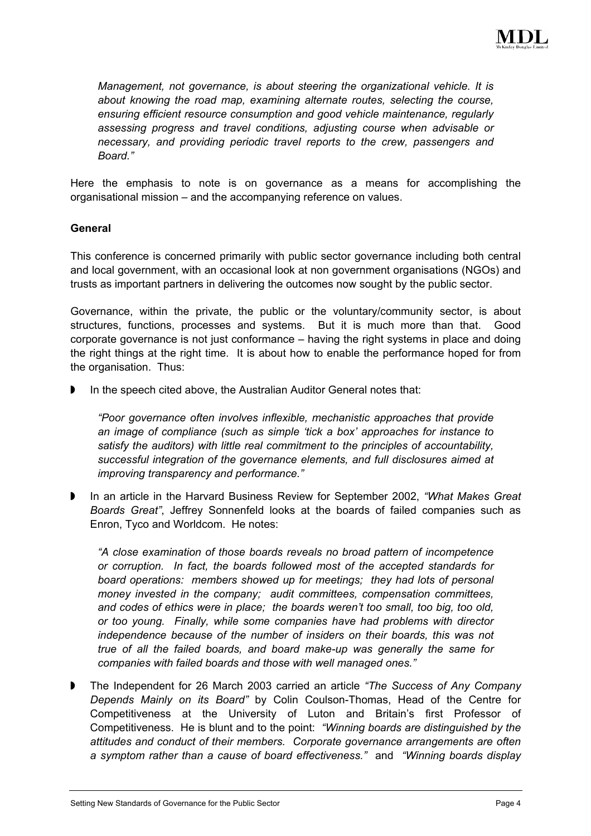

*Management, not governance, is about steering the organizational vehicle. It is about knowing the road map, examining alternate routes, selecting the course, ensuring efficient resource consumption and good vehicle maintenance, regularly assessing progress and travel conditions, adjusting course when advisable or necessary, and providing periodic travel reports to the crew, passengers and Board."*

Here the emphasis to note is on governance as a means for accomplishing the organisational mission – and the accompanying reference on values.

#### **General**

This conference is concerned primarily with public sector governance including both central and local government, with an occasional look at non government organisations (NGOs) and trusts as important partners in delivering the outcomes now sought by the public sector.

Governance, within the private, the public or the voluntary/community sector, is about structures, functions, processes and systems. But it is much more than that. Good corporate governance is not just conformance – having the right systems in place and doing the right things at the right time. It is about how to enable the performance hoped for from the organisation. Thus:

 $\blacktriangleright$ In the speech cited above, the Australian Auditor General notes that:

*"Poor governance often involves inflexible, mechanistic approaches that provide an image of compliance (such as simple 'tick a box' approaches for instance to satisfy the auditors) with little real commitment to the principles of accountability, successful integration of the governance elements, and full disclosures aimed at improving transparency and performance."*

 $\blacktriangleright$ In an article in the Harvard Business Review for September 2002, *"What Makes Great Boards Great"*, Jeffrey Sonnenfeld looks at the boards of failed companies such as Enron, Tyco and Worldcom. He notes:

*"A close examination of those boards reveals no broad pattern of incompetence or corruption. In fact, the boards followed most of the accepted standards for board operations: members showed up for meetings; they had lots of personal money invested in the company; audit committees, compensation committees, and codes of ethics were in place; the boards weren't too small, too big, too old, or too young. Finally, while some companies have had problems with director independence because of the number of insiders on their boards, this was not true of all the failed boards, and board make-up was generally the same for companies with failed boards and those with well managed ones."*

 $\blacktriangleright$ The Independent for 26 March 2003 carried an article *"The Success of Any Company Depends Mainly on its Board"* by Colin Coulson-Thomas, Head of the Centre for Competitiveness at the University of Luton and Britain's first Professor of Competitiveness. He is blunt and to the point: *"Winning boards are distinguished by the attitudes and conduct of their members. Corporate governance arrangements are often a symptom rather than a cause of board effectiveness."* and *"Winning boards display*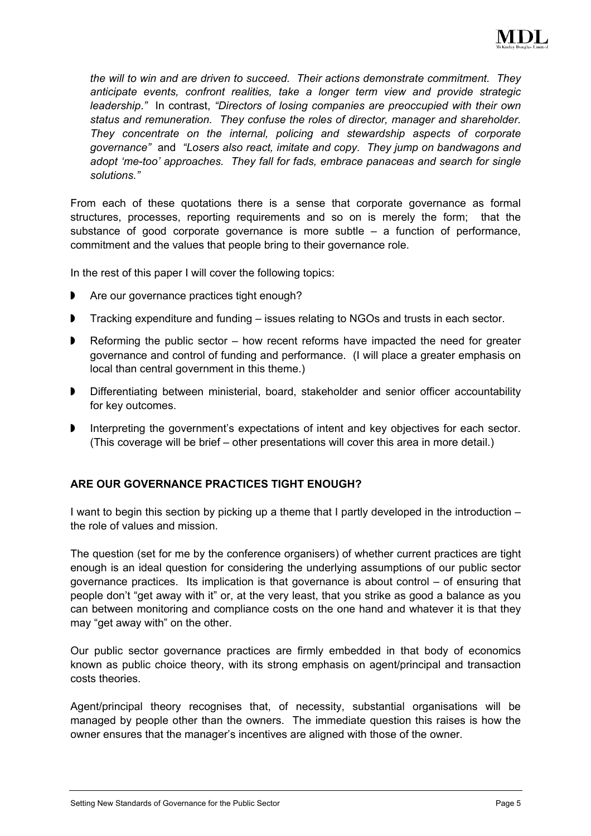

*the will to win and are driven to succeed. Their actions demonstrate commitment. They anticipate events, confront realities, take a longer term view and provide strategic leadership*.*"* In contrast, *"Directors of losing companies are preoccupied with their own status and remuneration. They confuse the roles of director, manager and shareholder. They concentrate on the internal, policing and stewardship aspects of corporate governance"* and *"Losers also react, imitate and copy. They jump on bandwagons and adopt 'me-too' approaches. They fall for fads, embrace panaceas and search for single solutions."*

From each of these quotations there is a sense that corporate governance as formal structures, processes, reporting requirements and so on is merely the form; that the substance of good corporate governance is more subtle  $-$  a function of performance, commitment and the values that people bring to their governance role.

In the rest of this paper I will cover the following topics:

- $\blacktriangleright$ Are our governance practices tight enough?
- $\blacktriangleright$ Tracking expenditure and funding – issues relating to NGOs and trusts in each sector.
- $\blacktriangleright$ Reforming the public sector – how recent reforms have impacted the need for greater governance and control of funding and performance. (I will place a greater emphasis on local than central government in this theme.)
- $\blacktriangleright$ Differentiating between ministerial, board, stakeholder and senior officer accountability for key outcomes.
- $\blacktriangleright$ Interpreting the government's expectations of intent and key objectives for each sector. (This coverage will be brief – other presentations will cover this area in more detail.)

## **ARE OUR GOVERNANCE PRACTICES TIGHT ENOUGH?**

I want to begin this section by picking up a theme that I partly developed in the introduction – the role of values and mission.

The question (set for me by the conference organisers) of whether current practices are tight enough is an ideal question for considering the underlying assumptions of our public sector governance practices. Its implication is that governance is about control – of ensuring that people don't "get away with it" or, at the very least, that you strike as good a balance as you can between monitoring and compliance costs on the one hand and whatever it is that they may "get away with" on the other.

Our public sector governance practices are firmly embedded in that body of economics known as public choice theory, with its strong emphasis on agent/principal and transaction costs theories.

Agent/principal theory recognises that, of necessity, substantial organisations will be managed by people other than the owners. The immediate question this raises is how the owner ensures that the manager's incentives are aligned with those of the owner.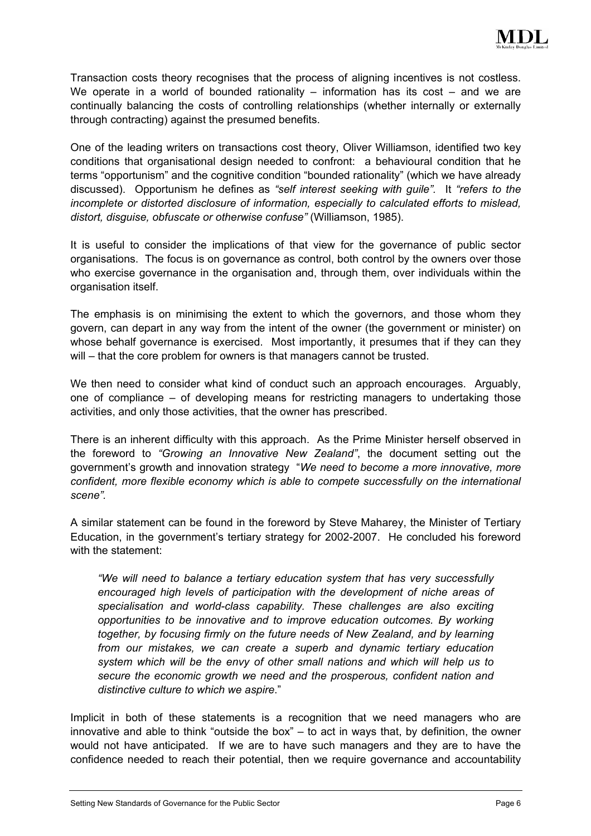

Transaction costs theory recognises that the process of aligning incentives is not costless. We operate in a world of bounded rationality  $-$  information has its cost  $-$  and we are continually balancing the costs of controlling relationships (whether internally or externally through contracting) against the presumed benefits.

One of the leading writers on transactions cost theory, Oliver Williamson, identified two key conditions that organisational design needed to confront: a behavioural condition that he terms "opportunism" and the cognitive condition "bounded rationality" (which we have already discussed). Opportunism he defines as *"self interest seeking with guile".* It *"refers to the incomplete or distorted disclosure of information, especially to calculated efforts to mislead, distort, disguise, obfuscate or otherwise confuse"* (Williamson, 1985).

It is useful to consider the implications of that view for the governance of public sector organisations. The focus is on governance as control, both control by the owners over those who exercise governance in the organisation and, through them, over individuals within the organisation itself.

The emphasis is on minimising the extent to which the governors, and those whom they govern, can depart in any way from the intent of the owner (the government or minister) on whose behalf governance is exercised. Most importantly, it presumes that if they can they will – that the core problem for owners is that managers cannot be trusted.

We then need to consider what kind of conduct such an approach encourages. Arguably, one of compliance – of developing means for restricting managers to undertaking those activities, and only those activities, that the owner has prescribed.

There is an inherent difficulty with this approach. As the Prime Minister herself observed in the foreword to *"Growing an Innovative New Zealand"*, the document setting out the government's growth and innovation strategy "*We need to become a more innovative, more confident, more flexible economy which is able to compete successfully on the international scene".* 

A similar statement can be found in the foreword by Steve Maharey, the Minister of Tertiary Education, in the government's tertiary strategy for 2002-2007. He concluded his foreword with the statement:

*"We will need to balance a tertiary education system that has very successfully encouraged high levels of participation with the development of niche areas of specialisation and world-class capability. These challenges are also exciting opportunities to be innovative and to improve education outcomes. By working together, by focusing firmly on the future needs of New Zealand, and by learning from our mistakes, we can create a superb and dynamic tertiary education system which will be the envy of other small nations and which will help us to secure the economic growth we need and the prosperous, confident nation and distinctive culture to which we aspire*."

Implicit in both of these statements is a recognition that we need managers who are innovative and able to think "outside the box" – to act in ways that, by definition, the owner would not have anticipated. If we are to have such managers and they are to have the confidence needed to reach their potential, then we require governance and accountability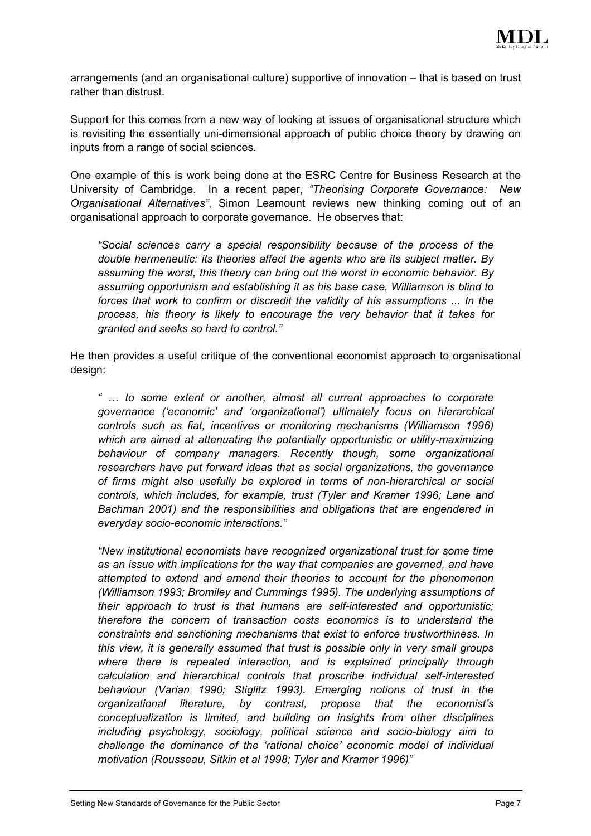

arrangements (and an organisational culture) supportive of innovation – that is based on trust rather than distrust.

Support for this comes from a new way of looking at issues of organisational structure which is revisiting the essentially uni-dimensional approach of public choice theory by drawing on inputs from a range of social sciences.

One example of this is work being done at the ESRC Centre for Business Research at the University of Cambridge. In a recent paper, *"Theorising Corporate Governance: New Organisational Alternatives"*, Simon Leamount reviews new thinking coming out of an organisational approach to corporate governance. He observes that:

*"Social sciences carry a special responsibility because of the process of the double hermeneutic: its theories affect the agents who are its subject matter. By assuming the worst, this theory can bring out the worst in economic behavior. By assuming opportunism and establishing it as his base case, Williamson is blind to forces that work to confirm or discredit the validity of his assumptions ... In the process, his theory is likely to encourage the very behavior that it takes for granted and seeks so hard to control."*

He then provides a useful critique of the conventional economist approach to organisational design:

*" … to some extent or another, almost all current approaches to corporate governance ('economic' and 'organizational') ultimately focus on hierarchical controls such as fiat, incentives or monitoring mechanisms (Williamson 1996) which are aimed at attenuating the potentially opportunistic or utility-maximizing behaviour of company managers. Recently though, some organizational researchers have put forward ideas that as social organizations, the governance of firms might also usefully be explored in terms of non-hierarchical or social controls, which includes, for example, trust (Tyler and Kramer 1996; Lane and Bachman 2001) and the responsibilities and obligations that are engendered in everyday socio-economic interactions."*

*"New institutional economists have recognized organizational trust for some time as an issue with implications for the way that companies are governed, and have attempted to extend and amend their theories to account for the phenomenon (Williamson 1993; Bromiley and Cummings 1995). The underlying assumptions of their approach to trust is that humans are self-interested and opportunistic; therefore the concern of transaction costs economics is to understand the constraints and sanctioning mechanisms that exist to enforce trustworthiness. In this view, it is generally assumed that trust is possible only in very small groups where there is repeated interaction, and is explained principally through calculation and hierarchical controls that proscribe individual self-interested behaviour (Varian 1990; Stiglitz 1993). Emerging notions of trust in the organizational literature, by contrast, propose that the economist's conceptualization is limited, and building on insights from other disciplines including psychology, sociology, political science and socio-biology aim to challenge the dominance of the 'rational choice' economic model of individual motivation (Rousseau, Sitkin et al 1998; Tyler and Kramer 1996)"*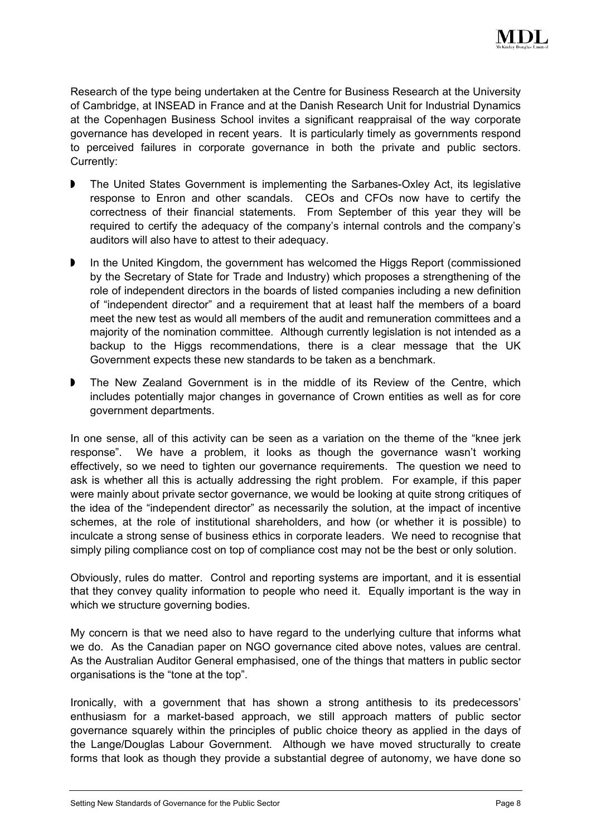

Research of the type being undertaken at the Centre for Business Research at the University of Cambridge, at INSEAD in France and at the Danish Research Unit for Industrial Dynamics at the Copenhagen Business School invites a significant reappraisal of the way corporate governance has developed in recent years. It is particularly timely as governments respond to perceived failures in corporate governance in both the private and public sectors. Currently:

- $\blacktriangleright$ The United States Government is implementing the Sarbanes-Oxley Act, its legislative response to Enron and other scandals. CEOs and CFOs now have to certify the correctness of their financial statements. From September of this year they will be required to certify the adequacy of the company's internal controls and the company's auditors will also have to attest to their adequacy.
- $\blacktriangleright$ In the United Kingdom, the government has welcomed the Higgs Report (commissioned by the Secretary of State for Trade and Industry) which proposes a strengthening of the role of independent directors in the boards of listed companies including a new definition of "independent director" and a requirement that at least half the members of a board meet the new test as would all members of the audit and remuneration committees and a majority of the nomination committee. Although currently legislation is not intended as a backup to the Higgs recommendations, there is a clear message that the UK Government expects these new standards to be taken as a benchmark.
- $\blacktriangleright$ The New Zealand Government is in the middle of its Review of the Centre, which includes potentially major changes in governance of Crown entities as well as for core government departments.

In one sense, all of this activity can be seen as a variation on the theme of the "knee jerk response". We have a problem, it looks as though the governance wasn't working effectively, so we need to tighten our governance requirements. The question we need to ask is whether all this is actually addressing the right problem. For example, if this paper were mainly about private sector governance, we would be looking at quite strong critiques of the idea of the "independent director" as necessarily the solution, at the impact of incentive schemes, at the role of institutional shareholders, and how (or whether it is possible) to inculcate a strong sense of business ethics in corporate leaders. We need to recognise that simply piling compliance cost on top of compliance cost may not be the best or only solution.

Obviously, rules do matter. Control and reporting systems are important, and it is essential that they convey quality information to people who need it. Equally important is the way in which we structure governing bodies.

My concern is that we need also to have regard to the underlying culture that informs what we do. As the Canadian paper on NGO governance cited above notes, values are central. As the Australian Auditor General emphasised, one of the things that matters in public sector organisations is the "tone at the top".

Ironically, with a government that has shown a strong antithesis to its predecessors' enthusiasm for a market-based approach, we still approach matters of public sector governance squarely within the principles of public choice theory as applied in the days of the Lange/Douglas Labour Government. Although we have moved structurally to create forms that look as though they provide a substantial degree of autonomy, we have done so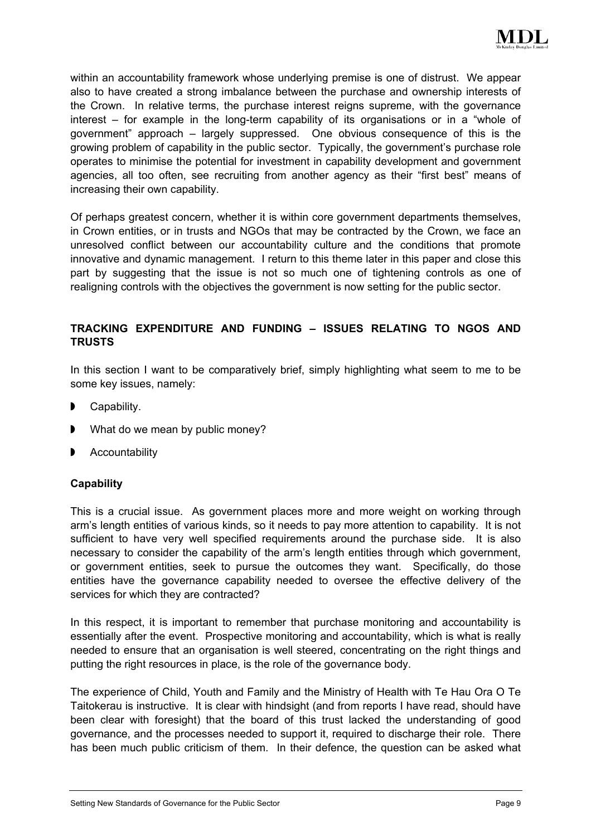

within an accountability framework whose underlying premise is one of distrust. We appear also to have created a strong imbalance between the purchase and ownership interests of the Crown. In relative terms, the purchase interest reigns supreme, with the governance interest – for example in the long-term capability of its organisations or in a "whole of government" approach – largely suppressed. One obvious consequence of this is the growing problem of capability in the public sector. Typically, the government's purchase role operates to minimise the potential for investment in capability development and government agencies, all too often, see recruiting from another agency as their "first best" means of increasing their own capability.

Of perhaps greatest concern, whether it is within core government departments themselves, in Crown entities, or in trusts and NGOs that may be contracted by the Crown, we face an unresolved conflict between our accountability culture and the conditions that promote innovative and dynamic management. I return to this theme later in this paper and close this part by suggesting that the issue is not so much one of tightening controls as one of realigning controls with the objectives the government is now setting for the public sector.

# **TRACKING EXPENDITURE AND FUNDING – ISSUES RELATING TO NGOS AND TRUSTS**

In this section I want to be comparatively brief, simply highlighting what seem to me to be some key issues, namely:

- Capability.
- $\blacktriangleright$ What do we mean by public money?
- Accountability

# **Capability**

This is a crucial issue. As government places more and more weight on working through arm's length entities of various kinds, so it needs to pay more attention to capability. It is not sufficient to have very well specified requirements around the purchase side. It is also necessary to consider the capability of the arm's length entities through which government, or government entities, seek to pursue the outcomes they want. Specifically, do those entities have the governance capability needed to oversee the effective delivery of the services for which they are contracted?

In this respect, it is important to remember that purchase monitoring and accountability is essentially after the event. Prospective monitoring and accountability, which is what is really needed to ensure that an organisation is well steered, concentrating on the right things and putting the right resources in place, is the role of the governance body.

The experience of Child, Youth and Family and the Ministry of Health with Te Hau Ora O Te Taitokerau is instructive. It is clear with hindsight (and from reports I have read, should have been clear with foresight) that the board of this trust lacked the understanding of good governance, and the processes needed to support it, required to discharge their role. There has been much public criticism of them. In their defence, the question can be asked what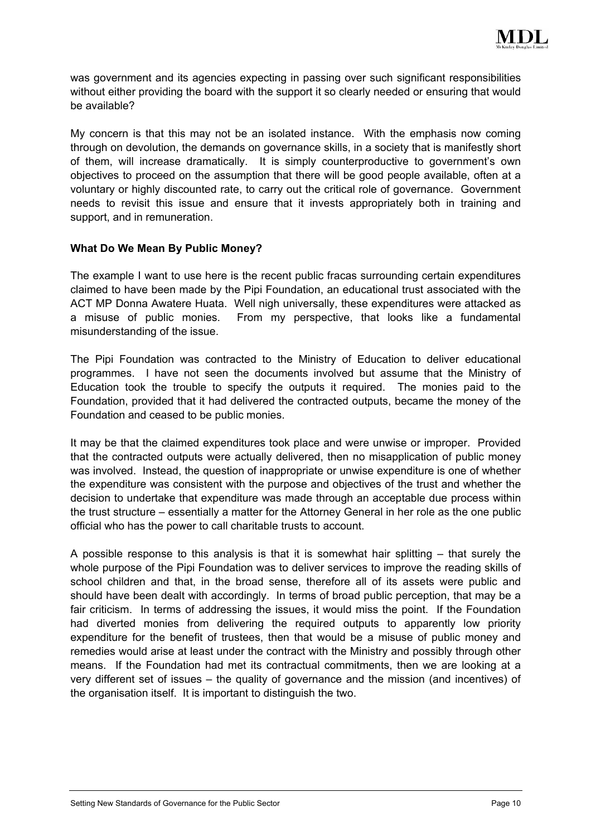

was government and its agencies expecting in passing over such significant responsibilities without either providing the board with the support it so clearly needed or ensuring that would be available?

My concern is that this may not be an isolated instance. With the emphasis now coming through on devolution, the demands on governance skills, in a society that is manifestly short of them, will increase dramatically. It is simply counterproductive to government's own objectives to proceed on the assumption that there will be good people available, often at a voluntary or highly discounted rate, to carry out the critical role of governance. Government needs to revisit this issue and ensure that it invests appropriately both in training and support, and in remuneration.

## **What Do We Mean By Public Money?**

The example I want to use here is the recent public fracas surrounding certain expenditures claimed to have been made by the Pipi Foundation, an educational trust associated with the ACT MP Donna Awatere Huata. Well nigh universally, these expenditures were attacked as a misuse of public monies. From my perspective, that looks like a fundamental misunderstanding of the issue.

The Pipi Foundation was contracted to the Ministry of Education to deliver educational programmes. I have not seen the documents involved but assume that the Ministry of Education took the trouble to specify the outputs it required. The monies paid to the Foundation, provided that it had delivered the contracted outputs, became the money of the Foundation and ceased to be public monies.

It may be that the claimed expenditures took place and were unwise or improper. Provided that the contracted outputs were actually delivered, then no misapplication of public money was involved. Instead, the question of inappropriate or unwise expenditure is one of whether the expenditure was consistent with the purpose and objectives of the trust and whether the decision to undertake that expenditure was made through an acceptable due process within the trust structure – essentially a matter for the Attorney General in her role as the one public official who has the power to call charitable trusts to account.

A possible response to this analysis is that it is somewhat hair splitting – that surely the whole purpose of the Pipi Foundation was to deliver services to improve the reading skills of school children and that, in the broad sense, therefore all of its assets were public and should have been dealt with accordingly. In terms of broad public perception, that may be a fair criticism. In terms of addressing the issues, it would miss the point. If the Foundation had diverted monies from delivering the required outputs to apparently low priority expenditure for the benefit of trustees, then that would be a misuse of public money and remedies would arise at least under the contract with the Ministry and possibly through other means. If the Foundation had met its contractual commitments, then we are looking at a very different set of issues – the quality of governance and the mission (and incentives) of the organisation itself. It is important to distinguish the two.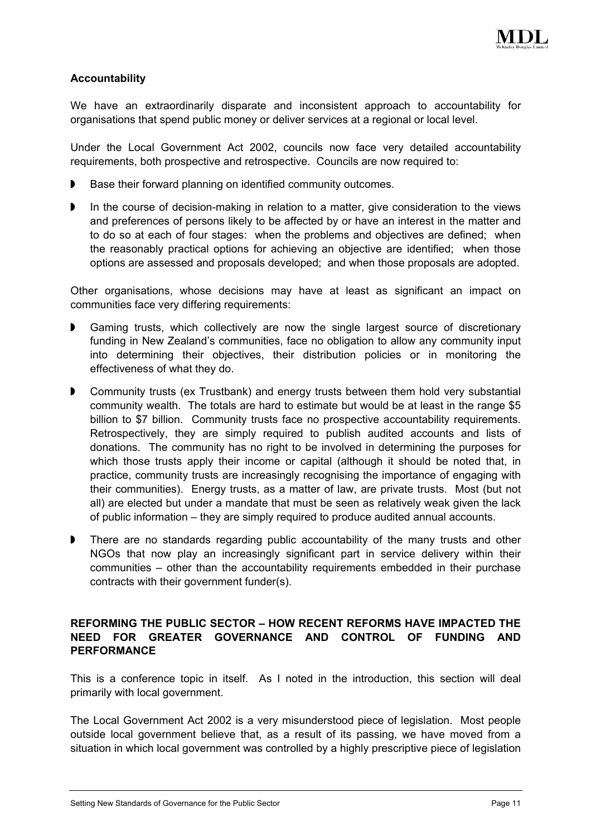

## **Accountability**

We have an extraordinarily disparate and inconsistent approach to accountability for organisations that spend public money or deliver services at a regional or local level.

Under the Local Government Act 2002, councils now face very detailed accountability requirements, both prospective and retrospective. Councils are now required to:

- $\blacktriangleright$ Base their forward planning on identified community outcomes.
- $\blacktriangleright$ In the course of decision-making in relation to a matter, give consideration to the views and preferences of persons likely to be affected by or have an interest in the matter and to do so at each of four stages: when the problems and objectives are defined; when the reasonably practical options for achieving an objective are identified; when those options are assessed and proposals developed; and when those proposals are adopted.

Other organisations, whose decisions may have at least as significant an impact on communities face very differing requirements:

- $\blacktriangleright$ Gaming trusts, which collectively are now the single largest source of discretionary funding in New Zealand's communities, face no obligation to allow any community input into determining their objectives, their distribution policies or in monitoring the effectiveness of what they do.
- $\blacktriangleright$ Community trusts (ex Trustbank) and energy trusts between them hold very substantial community wealth. The totals are hard to estimate but would be at least in the range \$5 billion to \$7 billion. Community trusts face no prospective accountability requirements. Retrospectively, they are simply required to publish audited accounts and lists of donations. The community has no right to be involved in determining the purposes for which those trusts apply their income or capital (although it should be noted that, in practice, community trusts are increasingly recognising the importance of engaging with their communities). Energy trusts, as a matter of law, are private trusts. Most (but not all) are elected but under a mandate that must be seen as relatively weak given the lack of public information – they are simply required to produce audited annual accounts.
- $\blacksquare$ There are no standards regarding public accountability of the many trusts and other NGOs that now play an increasingly significant part in service delivery within their communities – other than the accountability requirements embedded in their purchase contracts with their government funder(s).

# **REFORMING THE PUBLIC SECTOR – HOW RECENT REFORMS HAVE IMPACTED THE NEED FOR GREATER GOVERNANCE AND CONTROL OF FUNDING AND PERFORMANCE**

This is a conference topic in itself. As I noted in the introduction, this section will deal primarily with local government.

The Local Government Act 2002 is a very misunderstood piece of legislation. Most people outside local government believe that, as a result of its passing, we have moved from a situation in which local government was controlled by a highly prescriptive piece of legislation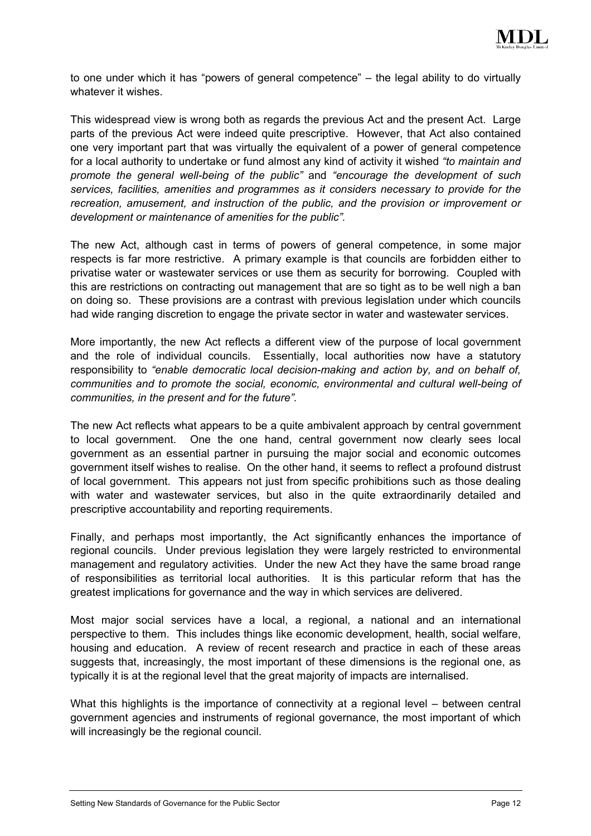

to one under which it has "powers of general competence" – the legal ability to do virtually whatever it wishes.

This widespread view is wrong both as regards the previous Act and the present Act. Large parts of the previous Act were indeed quite prescriptive. However, that Act also contained one very important part that was virtually the equivalent of a power of general competence for a local authority to undertake or fund almost any kind of activity it wished *"to maintain and promote the general well-being of the public"* and *"encourage the development of such services, facilities, amenities and programmes as it considers necessary to provide for the recreation, amusement, and instruction of the public, and the provision or improvement or development or maintenance of amenities for the public".*

The new Act, although cast in terms of powers of general competence, in some major respects is far more restrictive. A primary example is that councils are forbidden either to privatise water or wastewater services or use them as security for borrowing. Coupled with this are restrictions on contracting out management that are so tight as to be well nigh a ban on doing so. These provisions are a contrast with previous legislation under which councils had wide ranging discretion to engage the private sector in water and wastewater services.

More importantly, the new Act reflects a different view of the purpose of local government and the role of individual councils. Essentially, local authorities now have a statutory responsibility to *"enable democratic local decision-making and action by, and on behalf of, communities and to promote the social, economic, environmental and cultural well-being of communities, in the present and for the future".*

The new Act reflects what appears to be a quite ambivalent approach by central government to local government. One the one hand, central government now clearly sees local government as an essential partner in pursuing the major social and economic outcomes government itself wishes to realise. On the other hand, it seems to reflect a profound distrust of local government. This appears not just from specific prohibitions such as those dealing with water and wastewater services, but also in the quite extraordinarily detailed and prescriptive accountability and reporting requirements.

Finally, and perhaps most importantly, the Act significantly enhances the importance of regional councils. Under previous legislation they were largely restricted to environmental management and regulatory activities. Under the new Act they have the same broad range of responsibilities as territorial local authorities. It is this particular reform that has the greatest implications for governance and the way in which services are delivered.

Most major social services have a local, a regional, a national and an international perspective to them. This includes things like economic development, health, social welfare, housing and education. A review of recent research and practice in each of these areas suggests that, increasingly, the most important of these dimensions is the regional one, as typically it is at the regional level that the great majority of impacts are internalised.

What this highlights is the importance of connectivity at a regional level – between central government agencies and instruments of regional governance, the most important of which will increasingly be the regional council.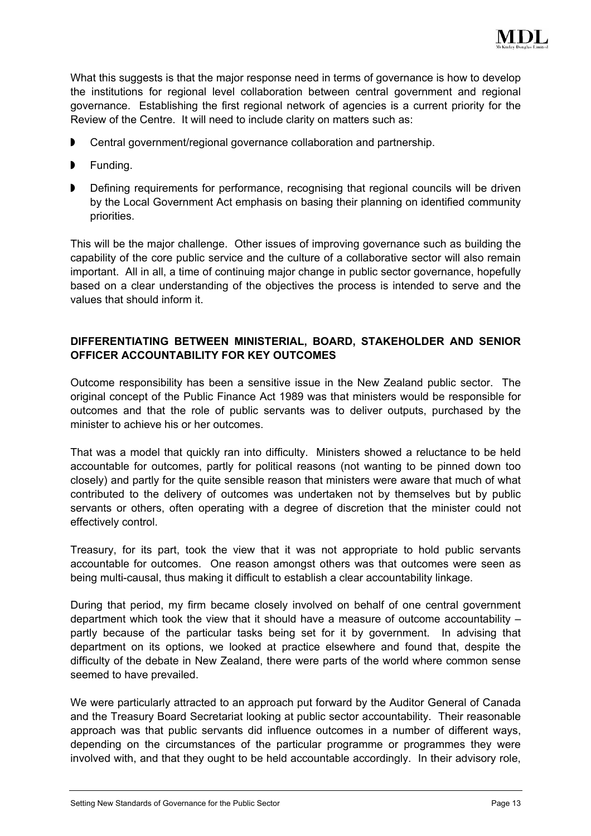

What this suggests is that the major response need in terms of governance is how to develop the institutions for regional level collaboration between central government and regional governance. Establishing the first regional network of agencies is a current priority for the Review of the Centre. It will need to include clarity on matters such as:

- $\blacktriangleright$ Central government/regional governance collaboration and partnership.
- Funding.
- $\blacktriangleright$ Defining requirements for performance, recognising that regional councils will be driven by the Local Government Act emphasis on basing their planning on identified community priorities.

This will be the major challenge. Other issues of improving governance such as building the capability of the core public service and the culture of a collaborative sector will also remain important. All in all, a time of continuing major change in public sector governance, hopefully based on a clear understanding of the objectives the process is intended to serve and the values that should inform it.

## **DIFFERENTIATING BETWEEN MINISTERIAL, BOARD, STAKEHOLDER AND SENIOR OFFICER ACCOUNTABILITY FOR KEY OUTCOMES**

Outcome responsibility has been a sensitive issue in the New Zealand public sector. The original concept of the Public Finance Act 1989 was that ministers would be responsible for outcomes and that the role of public servants was to deliver outputs, purchased by the minister to achieve his or her outcomes.

That was a model that quickly ran into difficulty. Ministers showed a reluctance to be held accountable for outcomes, partly for political reasons (not wanting to be pinned down too closely) and partly for the quite sensible reason that ministers were aware that much of what contributed to the delivery of outcomes was undertaken not by themselves but by public servants or others, often operating with a degree of discretion that the minister could not effectively control.

Treasury, for its part, took the view that it was not appropriate to hold public servants accountable for outcomes. One reason amongst others was that outcomes were seen as being multi-causal, thus making it difficult to establish a clear accountability linkage.

During that period, my firm became closely involved on behalf of one central government department which took the view that it should have a measure of outcome accountability – partly because of the particular tasks being set for it by government. In advising that department on its options, we looked at practice elsewhere and found that, despite the difficulty of the debate in New Zealand, there were parts of the world where common sense seemed to have prevailed.

We were particularly attracted to an approach put forward by the Auditor General of Canada and the Treasury Board Secretariat looking at public sector accountability. Their reasonable approach was that public servants did influence outcomes in a number of different ways, depending on the circumstances of the particular programme or programmes they were involved with, and that they ought to be held accountable accordingly. In their advisory role,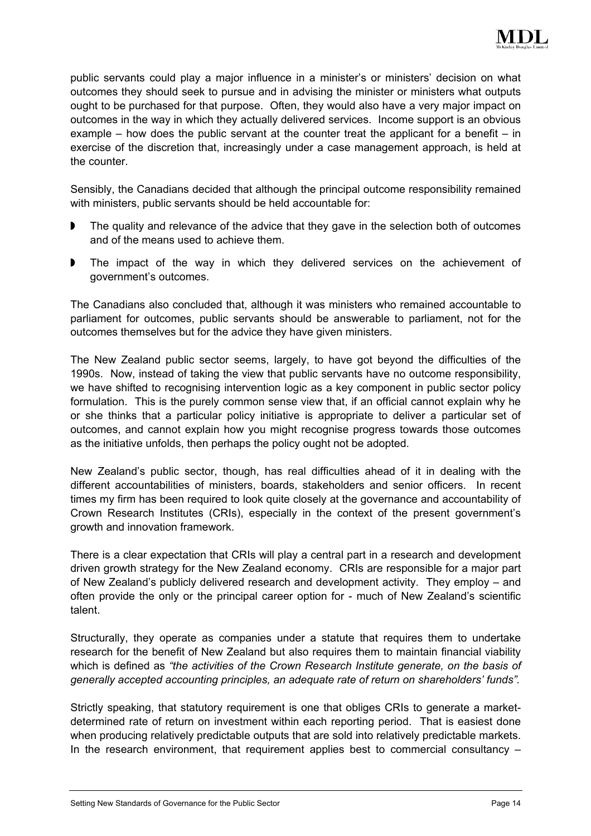

public servants could play a major influence in a minister's or ministers' decision on what outcomes they should seek to pursue and in advising the minister or ministers what outputs ought to be purchased for that purpose. Often, they would also have a very major impact on outcomes in the way in which they actually delivered services. Income support is an obvious example – how does the public servant at the counter treat the applicant for a benefit – in exercise of the discretion that, increasingly under a case management approach, is held at the counter.

Sensibly, the Canadians decided that although the principal outcome responsibility remained with ministers, public servants should be held accountable for:

- $\blacktriangleright$ The quality and relevance of the advice that they gave in the selection both of outcomes and of the means used to achieve them.
- $\blacktriangleright$ The impact of the way in which they delivered services on the achievement of government's outcomes.

The Canadians also concluded that, although it was ministers who remained accountable to parliament for outcomes, public servants should be answerable to parliament, not for the outcomes themselves but for the advice they have given ministers.

The New Zealand public sector seems, largely, to have got beyond the difficulties of the 1990s. Now, instead of taking the view that public servants have no outcome responsibility, we have shifted to recognising intervention logic as a key component in public sector policy formulation. This is the purely common sense view that, if an official cannot explain why he or she thinks that a particular policy initiative is appropriate to deliver a particular set of outcomes, and cannot explain how you might recognise progress towards those outcomes as the initiative unfolds, then perhaps the policy ought not be adopted.

New Zealand's public sector, though, has real difficulties ahead of it in dealing with the different accountabilities of ministers, boards, stakeholders and senior officers. In recent times my firm has been required to look quite closely at the governance and accountability of Crown Research Institutes (CRIs), especially in the context of the present government's growth and innovation framework.

There is a clear expectation that CRIs will play a central part in a research and development driven growth strategy for the New Zealand economy. CRIs are responsible for a major part of New Zealand's publicly delivered research and development activity. They employ – and often provide the only or the principal career option for - much of New Zealand's scientific talent.

Structurally, they operate as companies under a statute that requires them to undertake research for the benefit of New Zealand but also requires them to maintain financial viability which is defined as *"the activities of the Crown Research Institute generate, on the basis of generally accepted accounting principles, an adequate rate of return on shareholders' funds".*

Strictly speaking, that statutory requirement is one that obliges CRIs to generate a marketdetermined rate of return on investment within each reporting period. That is easiest done when producing relatively predictable outputs that are sold into relatively predictable markets. In the research environment, that requirement applies best to commercial consultancy –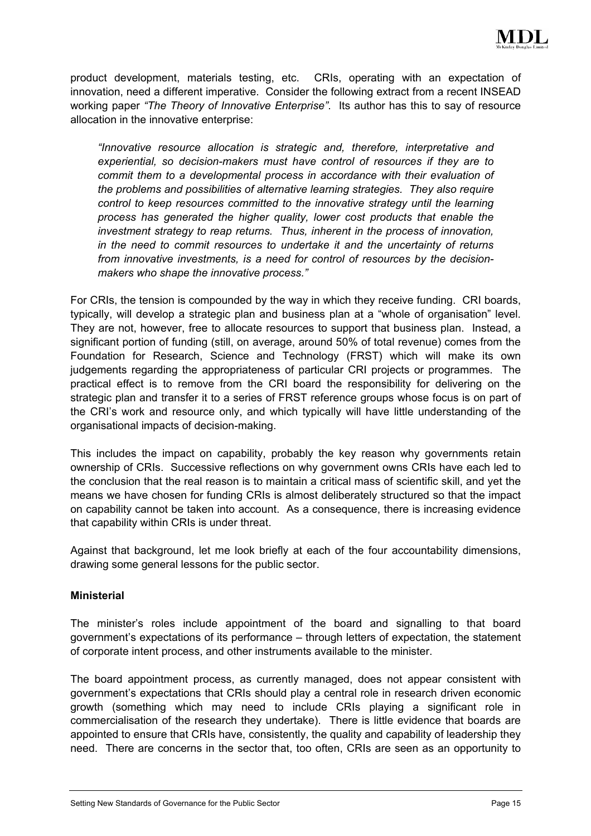

product development, materials testing, etc. CRIs, operating with an expectation of innovation, need a different imperative. Consider the following extract from a recent INSEAD working paper *"The Theory of Innovative Enterprise"*. Its author has this to say of resource allocation in the innovative enterprise:

*"Innovative resource allocation is strategic and, therefore, interpretative and experiential, so decision-makers must have control of resources if they are to commit them to a developmental process in accordance with their evaluation of the problems and possibilities of alternative learning strategies. They also require control to keep resources committed to the innovative strategy until the learning process has generated the higher quality, lower cost products that enable the investment strategy to reap returns. Thus, inherent in the process of innovation, in the need to commit resources to undertake it and the uncertainty of returns from innovative investments, is a need for control of resources by the decisionmakers who shape the innovative process."*

For CRIs, the tension is compounded by the way in which they receive funding. CRI boards, typically, will develop a strategic plan and business plan at a "whole of organisation" level. They are not, however, free to allocate resources to support that business plan. Instead, a significant portion of funding (still, on average, around 50% of total revenue) comes from the Foundation for Research, Science and Technology (FRST) which will make its own judgements regarding the appropriateness of particular CRI projects or programmes. The practical effect is to remove from the CRI board the responsibility for delivering on the strategic plan and transfer it to a series of FRST reference groups whose focus is on part of the CRI's work and resource only, and which typically will have little understanding of the organisational impacts of decision-making.

This includes the impact on capability, probably the key reason why governments retain ownership of CRIs. Successive reflections on why government owns CRIs have each led to the conclusion that the real reason is to maintain a critical mass of scientific skill, and yet the means we have chosen for funding CRIs is almost deliberately structured so that the impact on capability cannot be taken into account. As a consequence, there is increasing evidence that capability within CRIs is under threat.

Against that background, let me look briefly at each of the four accountability dimensions, drawing some general lessons for the public sector.

## **Ministerial**

The minister's roles include appointment of the board and signalling to that board government's expectations of its performance – through letters of expectation, the statement of corporate intent process, and other instruments available to the minister.

The board appointment process, as currently managed, does not appear consistent with government's expectations that CRIs should play a central role in research driven economic growth (something which may need to include CRIs playing a significant role in commercialisation of the research they undertake). There is little evidence that boards are appointed to ensure that CRIs have, consistently, the quality and capability of leadership they need. There are concerns in the sector that, too often, CRIs are seen as an opportunity to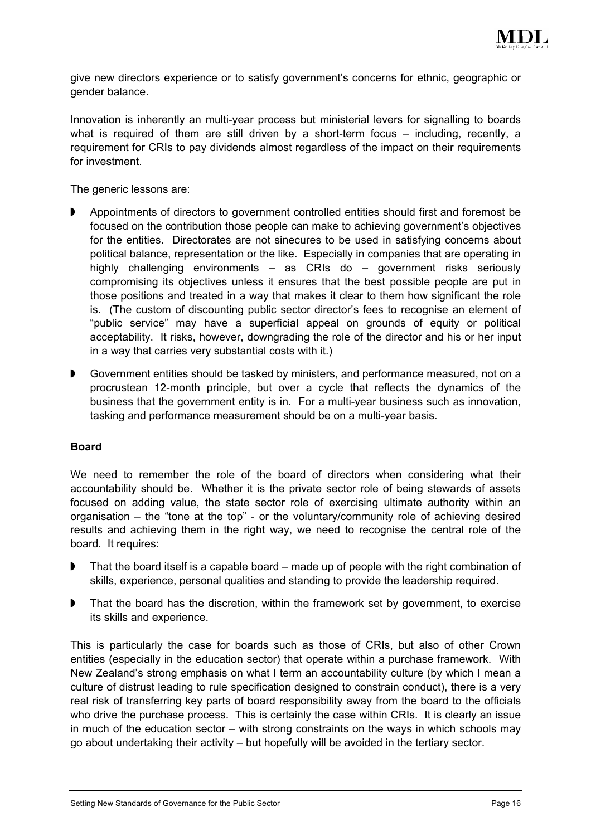

give new directors experience or to satisfy government's concerns for ethnic, geographic or gender balance.

Innovation is inherently an multi-year process but ministerial levers for signalling to boards what is required of them are still driven by a short-term focus – including, recently, a requirement for CRIs to pay dividends almost regardless of the impact on their requirements for investment.

The generic lessons are:

- $\blacktriangleright$ Appointments of directors to government controlled entities should first and foremost be focused on the contribution those people can make to achieving government's objectives for the entities. Directorates are not sinecures to be used in satisfying concerns about political balance, representation or the like. Especially in companies that are operating in highly challenging environments – as CRIs do – government risks seriously compromising its objectives unless it ensures that the best possible people are put in those positions and treated in a way that makes it clear to them how significant the role is. (The custom of discounting public sector director's fees to recognise an element of "public service" may have a superficial appeal on grounds of equity or political acceptability. It risks, however, downgrading the role of the director and his or her input in a way that carries very substantial costs with it.)
- $\blacktriangleright$ Government entities should be tasked by ministers, and performance measured, not on a procrustean 12-month principle, but over a cycle that reflects the dynamics of the business that the government entity is in. For a multi-year business such as innovation, tasking and performance measurement should be on a multi-year basis.

## **Board**

We need to remember the role of the board of directors when considering what their accountability should be. Whether it is the private sector role of being stewards of assets focused on adding value, the state sector role of exercising ultimate authority within an organisation – the "tone at the top" - or the voluntary/community role of achieving desired results and achieving them in the right way, we need to recognise the central role of the board. It requires:

- $\blacktriangleright$ That the board itself is a capable board – made up of people with the right combination of skills, experience, personal qualities and standing to provide the leadership required.
- $\blacktriangleright$ That the board has the discretion, within the framework set by government, to exercise its skills and experience.

This is particularly the case for boards such as those of CRIs, but also of other Crown entities (especially in the education sector) that operate within a purchase framework. With New Zealand's strong emphasis on what I term an accountability culture (by which I mean a culture of distrust leading to rule specification designed to constrain conduct), there is a very real risk of transferring key parts of board responsibility away from the board to the officials who drive the purchase process. This is certainly the case within CRIs. It is clearly an issue in much of the education sector – with strong constraints on the ways in which schools may go about undertaking their activity – but hopefully will be avoided in the tertiary sector.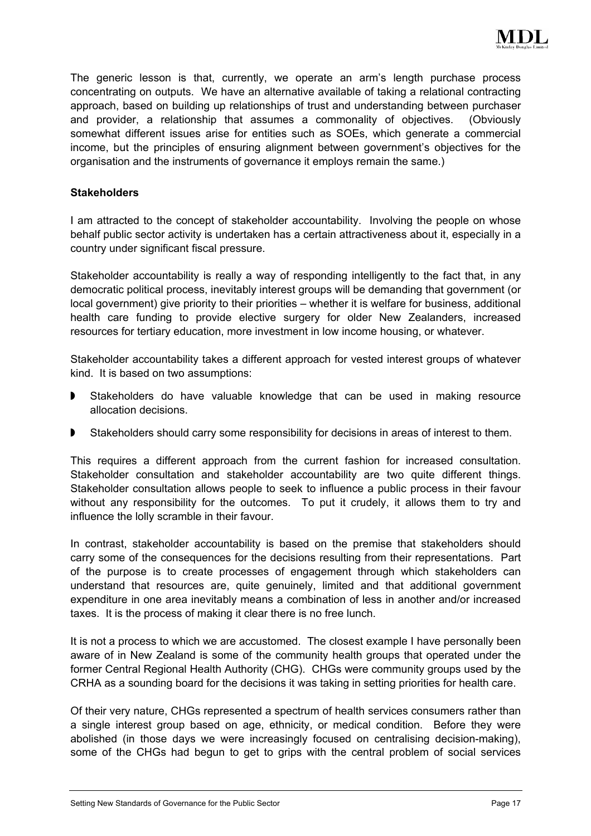

The generic lesson is that, currently, we operate an arm's length purchase process concentrating on outputs. We have an alternative available of taking a relational contracting approach, based on building up relationships of trust and understanding between purchaser and provider, a relationship that assumes a commonality of objectives. (Obviously somewhat different issues arise for entities such as SOEs, which generate a commercial income, but the principles of ensuring alignment between government's objectives for the organisation and the instruments of governance it employs remain the same.)

## **Stakeholders**

I am attracted to the concept of stakeholder accountability. Involving the people on whose behalf public sector activity is undertaken has a certain attractiveness about it, especially in a country under significant fiscal pressure.

Stakeholder accountability is really a way of responding intelligently to the fact that, in any democratic political process, inevitably interest groups will be demanding that government (or local government) give priority to their priorities – whether it is welfare for business, additional health care funding to provide elective surgery for older New Zealanders, increased resources for tertiary education, more investment in low income housing, or whatever.

Stakeholder accountability takes a different approach for vested interest groups of whatever kind. It is based on two assumptions:

- $\blacktriangleright$ Stakeholders do have valuable knowledge that can be used in making resource allocation decisions.
- $\blacktriangleright$ Stakeholders should carry some responsibility for decisions in areas of interest to them.

This requires a different approach from the current fashion for increased consultation. Stakeholder consultation and stakeholder accountability are two quite different things. Stakeholder consultation allows people to seek to influence a public process in their favour without any responsibility for the outcomes. To put it crudely, it allows them to try and influence the lolly scramble in their favour.

In contrast, stakeholder accountability is based on the premise that stakeholders should carry some of the consequences for the decisions resulting from their representations. Part of the purpose is to create processes of engagement through which stakeholders can understand that resources are, quite genuinely, limited and that additional government expenditure in one area inevitably means a combination of less in another and/or increased taxes. It is the process of making it clear there is no free lunch.

It is not a process to which we are accustomed. The closest example I have personally been aware of in New Zealand is some of the community health groups that operated under the former Central Regional Health Authority (CHG). CHGs were community groups used by the CRHA as a sounding board for the decisions it was taking in setting priorities for health care.

Of their very nature, CHGs represented a spectrum of health services consumers rather than a single interest group based on age, ethnicity, or medical condition. Before they were abolished (in those days we were increasingly focused on centralising decision-making), some of the CHGs had begun to get to grips with the central problem of social services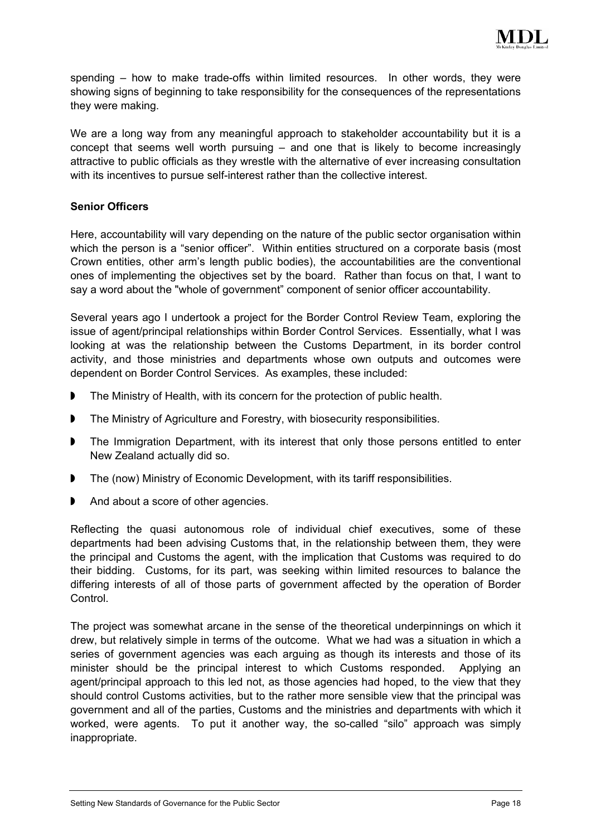

spending – how to make trade-offs within limited resources. In other words, they were showing signs of beginning to take responsibility for the consequences of the representations they were making.

We are a long way from any meaningful approach to stakeholder accountability but it is a concept that seems well worth pursuing – and one that is likely to become increasingly attractive to public officials as they wrestle with the alternative of ever increasing consultation with its incentives to pursue self-interest rather than the collective interest.

## **Senior Officers**

Here, accountability will vary depending on the nature of the public sector organisation within which the person is a "senior officer". Within entities structured on a corporate basis (most Crown entities, other arm's length public bodies), the accountabilities are the conventional ones of implementing the objectives set by the board. Rather than focus on that, I want to say a word about the "whole of government" component of senior officer accountability.

Several years ago I undertook a project for the Border Control Review Team, exploring the issue of agent/principal relationships within Border Control Services. Essentially, what I was looking at was the relationship between the Customs Department, in its border control activity, and those ministries and departments whose own outputs and outcomes were dependent on Border Control Services. As examples, these included:

- $\blacktriangleright$ The Ministry of Health, with its concern for the protection of public health.
- $\blacksquare$ The Ministry of Agriculture and Forestry, with biosecurity responsibilities.
- $\blacksquare$ The Immigration Department, with its interest that only those persons entitled to enter New Zealand actually did so.
- $\blacktriangleright$ The (now) Ministry of Economic Development, with its tariff responsibilities.
- $\blacktriangleright$ And about a score of other agencies.

Reflecting the quasi autonomous role of individual chief executives, some of these departments had been advising Customs that, in the relationship between them, they were the principal and Customs the agent, with the implication that Customs was required to do their bidding. Customs, for its part, was seeking within limited resources to balance the differing interests of all of those parts of government affected by the operation of Border Control.

The project was somewhat arcane in the sense of the theoretical underpinnings on which it drew, but relatively simple in terms of the outcome. What we had was a situation in which a series of government agencies was each arguing as though its interests and those of its minister should be the principal interest to which Customs responded. Applying an agent/principal approach to this led not, as those agencies had hoped, to the view that they should control Customs activities, but to the rather more sensible view that the principal was government and all of the parties, Customs and the ministries and departments with which it worked, were agents. To put it another way, the so-called "silo" approach was simply inappropriate.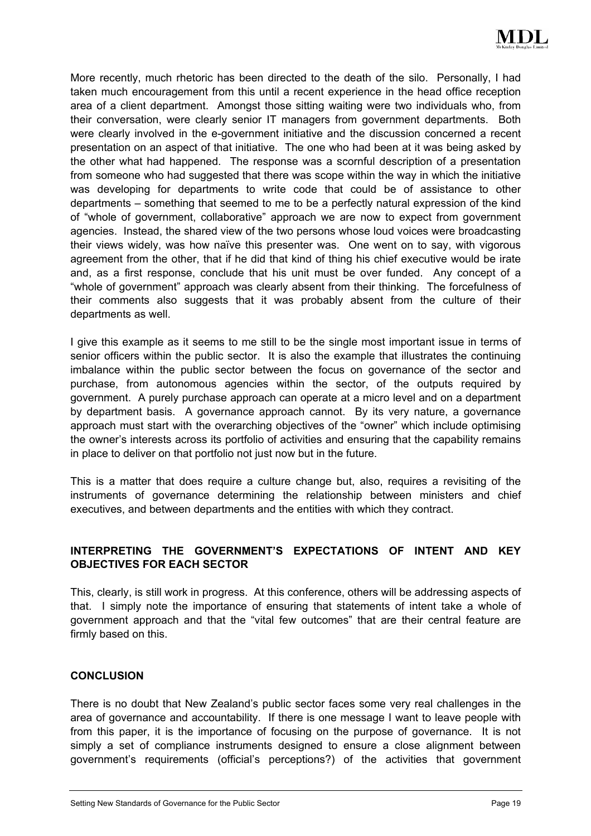

More recently, much rhetoric has been directed to the death of the silo. Personally, I had taken much encouragement from this until a recent experience in the head office reception area of a client department. Amongst those sitting waiting were two individuals who, from their conversation, were clearly senior IT managers from government departments. Both were clearly involved in the e-government initiative and the discussion concerned a recent presentation on an aspect of that initiative. The one who had been at it was being asked by the other what had happened. The response was a scornful description of a presentation from someone who had suggested that there was scope within the way in which the initiative was developing for departments to write code that could be of assistance to other departments – something that seemed to me to be a perfectly natural expression of the kind of "whole of government, collaborative" approach we are now to expect from government agencies. Instead, the shared view of the two persons whose loud voices were broadcasting their views widely, was how naïve this presenter was. One went on to say, with vigorous agreement from the other, that if he did that kind of thing his chief executive would be irate and, as a first response, conclude that his unit must be over funded. Any concept of a "whole of government" approach was clearly absent from their thinking. The forcefulness of their comments also suggests that it was probably absent from the culture of their departments as well.

I give this example as it seems to me still to be the single most important issue in terms of senior officers within the public sector. It is also the example that illustrates the continuing imbalance within the public sector between the focus on governance of the sector and purchase, from autonomous agencies within the sector, of the outputs required by government. A purely purchase approach can operate at a micro level and on a department by department basis. A governance approach cannot. By its very nature, a governance approach must start with the overarching objectives of the "owner" which include optimising the owner's interests across its portfolio of activities and ensuring that the capability remains in place to deliver on that portfolio not just now but in the future.

This is a matter that does require a culture change but, also, requires a revisiting of the instruments of governance determining the relationship between ministers and chief executives, and between departments and the entities with which they contract.

# **INTERPRETING THE GOVERNMENT'S EXPECTATIONS OF INTENT AND KEY OBJECTIVES FOR EACH SECTOR**

This, clearly, is still work in progress. At this conference, others will be addressing aspects of that. I simply note the importance of ensuring that statements of intent take a whole of government approach and that the "vital few outcomes" that are their central feature are firmly based on this.

## **CONCLUSION**

There is no doubt that New Zealand's public sector faces some very real challenges in the area of governance and accountability. If there is one message I want to leave people with from this paper, it is the importance of focusing on the purpose of governance. It is not simply a set of compliance instruments designed to ensure a close alignment between government's requirements (official's perceptions?) of the activities that government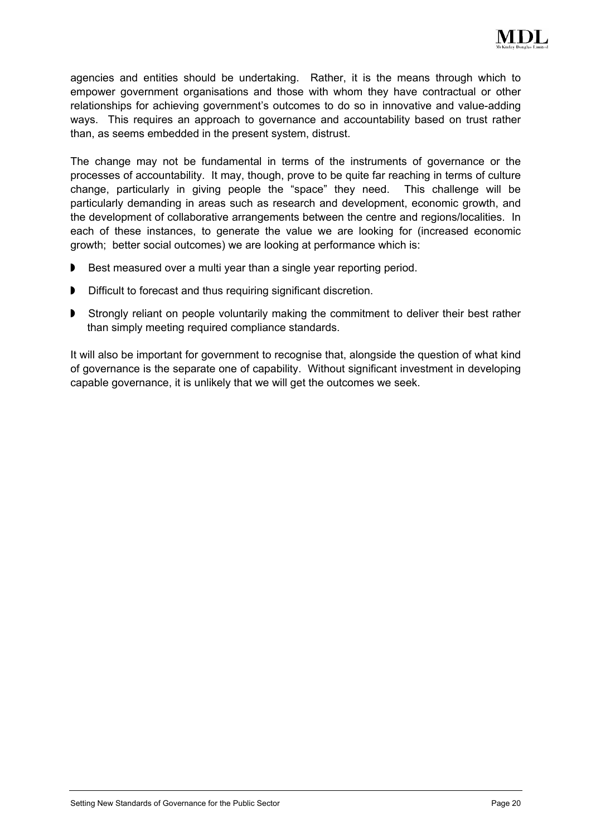

agencies and entities should be undertaking. Rather, it is the means through which to empower government organisations and those with whom they have contractual or other relationships for achieving government's outcomes to do so in innovative and value-adding ways. This requires an approach to governance and accountability based on trust rather than, as seems embedded in the present system, distrust.

The change may not be fundamental in terms of the instruments of governance or the processes of accountability. It may, though, prove to be quite far reaching in terms of culture change, particularly in giving people the "space" they need. This challenge will be particularly demanding in areas such as research and development, economic growth, and the development of collaborative arrangements between the centre and regions/localities. In each of these instances, to generate the value we are looking for (increased economic growth; better social outcomes) we are looking at performance which is:

- Best measured over a multi year than a single year reporting period.
- Difficult to forecast and thus requiring significant discretion.
- **D** Strongly reliant on people voluntarily making the commitment to deliver their best rather than simply meeting required compliance standards.

It will also be important for government to recognise that, alongside the question of what kind of governance is the separate one of capability. Without significant investment in developing capable governance, it is unlikely that we will get the outcomes we seek.